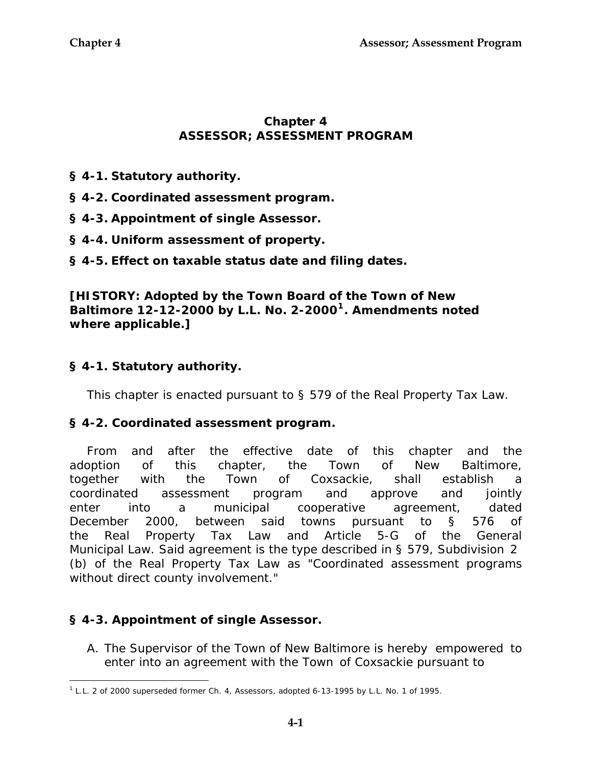### **Chapter 4 ASSESSOR; ASSESSMENT PROGRAM**

- **§ 4-1. Statutory authority.**
- **§ 4-2. Coordinated assessment program.**
- **§ 4-3. Appointment of single Assessor.**
- **§ 4-4. Uniform assessment of property.**
- **§ 4-5. Effect on taxable status date and filing dates.**

**[HISTORY: Adopted by the Town Board of the Town of New Baltimore 12-12-2000 by L.L. No. 2-2000[1](#page-0-0). Amendments noted where applicable.]** 

# **§ 4-1. Statutory authority.**

This chapter is enacted pursuant to§ 579 of the Real Property Tax Law.

#### **§ 4-2. Coordinated assessment program.**

From and after the effective date of this chapter and the adoption of this chapter, the Town of New Baltimore, together with the Town of Coxsackie, shall establish a coordinated assessment program and approve and jointly enter into a municipal cooperative agreement, dated December 2000, between said towns pursuant to § 576 of the Real Property Tax Law and Article 5-G of the General Municipal Law. Said agreement is the type described in § 579, Subdivision 2 (b) of the Real Property Tax Law as "Coordinated assessment programs without direct county involvement."

# **§ 4-3. Appointment of single Assessor.**

 $\overline{a}$ 

A. The Supervisor of the Town of New Baltimore is hereby empowered to enter into an agreement with the Town of Coxsackie pursuant to

<span id="page-0-0"></span><sup>1</sup> L.L. 2 of 2000 superseded former Ch. 4, Assessors, adopted 6-13-1995 by L.L. No. 1 of 1995.